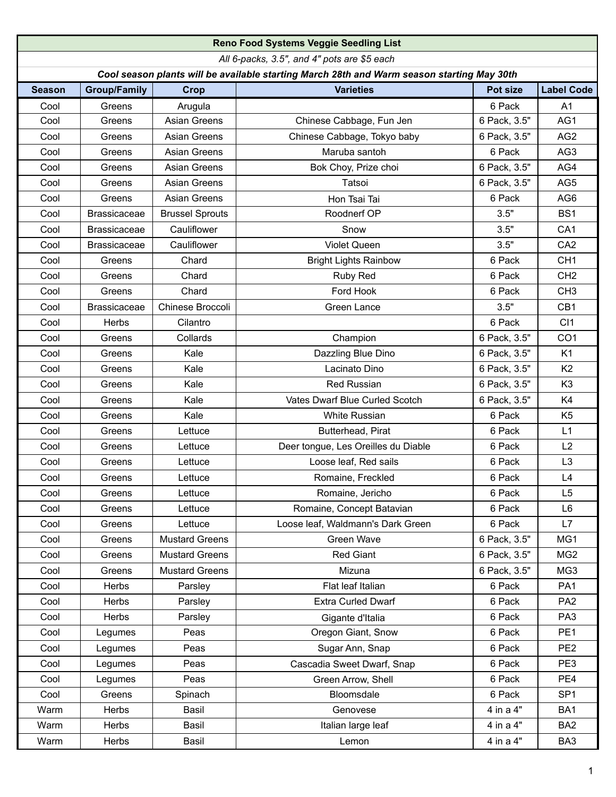|                                                                                            | <b>Reno Food Systems Veggie Seedling List</b> |                        |                                     |              |                   |  |  |  |  |  |
|--------------------------------------------------------------------------------------------|-----------------------------------------------|------------------------|-------------------------------------|--------------|-------------------|--|--|--|--|--|
| All 6-packs, 3.5", and 4" pots are \$5 each                                                |                                               |                        |                                     |              |                   |  |  |  |  |  |
| Cool season plants will be available starting March 28th and Warm season starting May 30th |                                               |                        |                                     |              |                   |  |  |  |  |  |
| <b>Season</b>                                                                              | <b>Group/Family</b>                           | <b>Crop</b>            | <b>Varieties</b>                    | Pot size     | <b>Label Code</b> |  |  |  |  |  |
| Cool                                                                                       | Greens                                        | Arugula                |                                     | 6 Pack       | A <sub>1</sub>    |  |  |  |  |  |
| Cool                                                                                       | Greens                                        | <b>Asian Greens</b>    | Chinese Cabbage, Fun Jen            | 6 Pack, 3.5" | AG1               |  |  |  |  |  |
| Cool                                                                                       | Greens                                        | Asian Greens           | Chinese Cabbage, Tokyo baby         | 6 Pack, 3.5" | AG <sub>2</sub>   |  |  |  |  |  |
| Cool                                                                                       | Greens                                        | <b>Asian Greens</b>    | Maruba santoh                       | 6 Pack       | AG3               |  |  |  |  |  |
| Cool                                                                                       | Greens                                        | <b>Asian Greens</b>    | Bok Choy, Prize choi                | 6 Pack, 3.5" | AG4               |  |  |  |  |  |
| Cool                                                                                       | Greens                                        | <b>Asian Greens</b>    | Tatsoi                              | 6 Pack, 3.5" | AG5               |  |  |  |  |  |
| Cool                                                                                       | Greens                                        | <b>Asian Greens</b>    | Hon Tsai Tai                        | 6 Pack       | AG <sub>6</sub>   |  |  |  |  |  |
| Cool                                                                                       | <b>Brassicaceae</b>                           | <b>Brussel Sprouts</b> | Roodnerf OP                         | 3.5"         | BS <sub>1</sub>   |  |  |  |  |  |
| Cool                                                                                       | <b>Brassicaceae</b>                           | Cauliflower            | Snow                                | 3.5"         | CA <sub>1</sub>   |  |  |  |  |  |
| Cool                                                                                       | <b>Brassicaceae</b>                           | Cauliflower            | <b>Violet Queen</b>                 | 3.5"         | CA <sub>2</sub>   |  |  |  |  |  |
| Cool                                                                                       | Greens                                        | Chard                  | <b>Bright Lights Rainbow</b>        | 6 Pack       | CH <sub>1</sub>   |  |  |  |  |  |
| Cool                                                                                       | Greens                                        | Chard                  | Ruby Red                            | 6 Pack       | CH <sub>2</sub>   |  |  |  |  |  |
| Cool                                                                                       | Greens                                        | Chard                  | Ford Hook                           | 6 Pack       | CH <sub>3</sub>   |  |  |  |  |  |
| Cool                                                                                       | <b>Brassicaceae</b>                           | Chinese Broccoli       | Green Lance                         | 3.5"         | CB1               |  |  |  |  |  |
| Cool                                                                                       | Herbs                                         | Cilantro               |                                     | 6 Pack       | C <sub>11</sub>   |  |  |  |  |  |
| Cool                                                                                       | Greens                                        | Collards               | Champion                            | 6 Pack, 3.5" | CO <sub>1</sub>   |  |  |  |  |  |
| Cool                                                                                       | Greens                                        | Kale                   | Dazzling Blue Dino                  | 6 Pack, 3.5" | K <sub>1</sub>    |  |  |  |  |  |
| Cool                                                                                       | Greens                                        | Kale                   | Lacinato Dino                       | 6 Pack, 3.5" | K <sub>2</sub>    |  |  |  |  |  |
| Cool                                                                                       | Greens                                        | Kale                   | <b>Red Russian</b>                  | 6 Pack, 3.5" | K <sub>3</sub>    |  |  |  |  |  |
| Cool                                                                                       | Greens                                        | Kale                   | Vates Dwarf Blue Curled Scotch      | 6 Pack, 3.5" | K4                |  |  |  |  |  |
| Cool                                                                                       | Greens                                        | Kale                   | White Russian                       | 6 Pack       | K <sub>5</sub>    |  |  |  |  |  |
| Cool                                                                                       | Greens                                        | Lettuce                | Butterhead, Pirat                   | 6 Pack       | L1                |  |  |  |  |  |
| Cool                                                                                       | Greens                                        | Lettuce                | Deer tongue, Les Oreilles du Diable | 6 Pack       | L2                |  |  |  |  |  |
| Cool                                                                                       | Greens                                        | Lettuce                | Loose leaf, Red sails               | 6 Pack       | L <sub>3</sub>    |  |  |  |  |  |
| Cool                                                                                       | Greens                                        | Lettuce                | Romaine, Freckled                   | 6 Pack       | L4                |  |  |  |  |  |
| Cool                                                                                       | Greens                                        | Lettuce                | Romaine, Jericho                    | 6 Pack       | L <sub>5</sub>    |  |  |  |  |  |
| Cool                                                                                       | Greens                                        | Lettuce                | Romaine, Concept Batavian           | 6 Pack       | L <sub>6</sub>    |  |  |  |  |  |
| Cool                                                                                       | Greens                                        | Lettuce                | Loose leaf, Waldmann's Dark Green   | 6 Pack       | L7                |  |  |  |  |  |
| Cool                                                                                       | Greens                                        | <b>Mustard Greens</b>  | Green Wave                          | 6 Pack, 3.5" | MG1               |  |  |  |  |  |
| Cool                                                                                       | Greens                                        | <b>Mustard Greens</b>  | <b>Red Giant</b>                    | 6 Pack, 3.5" | MG <sub>2</sub>   |  |  |  |  |  |
| Cool                                                                                       | Greens                                        | <b>Mustard Greens</b>  | Mizuna                              | 6 Pack, 3.5" | MG3               |  |  |  |  |  |
| Cool                                                                                       | Herbs                                         | Parsley                | Flat leaf Italian                   | 6 Pack       | PA <sub>1</sub>   |  |  |  |  |  |
| Cool                                                                                       | Herbs                                         | Parsley                | Extra Curled Dwarf                  | 6 Pack       | PA <sub>2</sub>   |  |  |  |  |  |
| Cool                                                                                       | Herbs                                         | Parsley                | Gigante d'Italia                    | 6 Pack       | PA <sub>3</sub>   |  |  |  |  |  |
| Cool                                                                                       | Legumes                                       | Peas                   | Oregon Giant, Snow                  | 6 Pack       | PE <sub>1</sub>   |  |  |  |  |  |
| Cool                                                                                       | Legumes                                       | Peas                   | Sugar Ann, Snap                     | 6 Pack       | PE <sub>2</sub>   |  |  |  |  |  |
| Cool                                                                                       | Legumes                                       | Peas                   | Cascadia Sweet Dwarf, Snap          | 6 Pack       | PE3               |  |  |  |  |  |
| Cool                                                                                       | Legumes                                       | Peas                   | Green Arrow, Shell                  | 6 Pack       | PE4               |  |  |  |  |  |
| Cool                                                                                       | Greens                                        | Spinach                | Bloomsdale                          | 6 Pack       | SP <sub>1</sub>   |  |  |  |  |  |
| Warm                                                                                       | Herbs                                         | Basil                  | Genovese                            | 4 in a 4"    | BA1               |  |  |  |  |  |
| Warm                                                                                       | Herbs                                         | Basil                  | Italian large leaf                  | 4 in a 4"    | BA <sub>2</sub>   |  |  |  |  |  |
| Warm                                                                                       | Herbs                                         | Basil                  | Lemon                               | 4 in a 4"    | BA3               |  |  |  |  |  |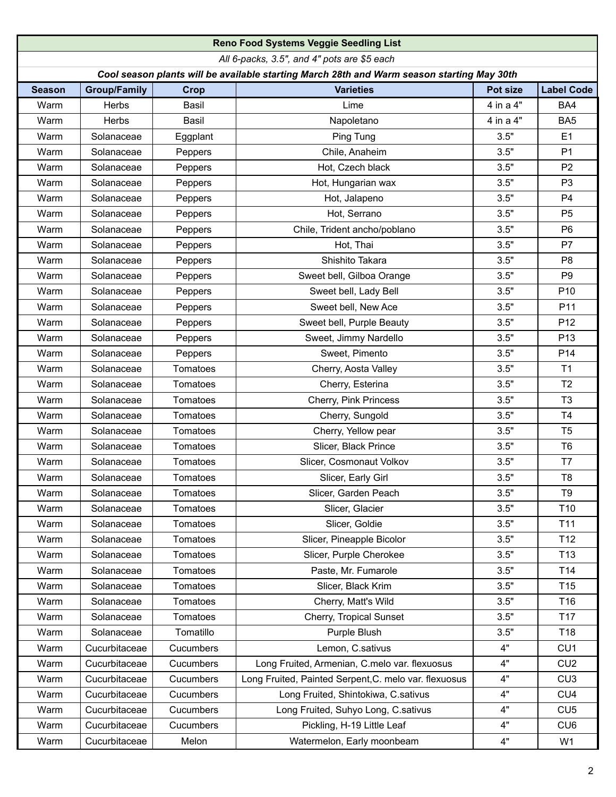|                                                                                            |                     |           | Reno Food Systems Veggie Seedling List                |           |                   |  |  |  |  |  |
|--------------------------------------------------------------------------------------------|---------------------|-----------|-------------------------------------------------------|-----------|-------------------|--|--|--|--|--|
| All 6-packs, 3.5", and 4" pots are \$5 each                                                |                     |           |                                                       |           |                   |  |  |  |  |  |
| Cool season plants will be available starting March 28th and Warm season starting May 30th |                     |           |                                                       |           |                   |  |  |  |  |  |
| <b>Season</b>                                                                              | <b>Group/Family</b> | Crop      | <b>Varieties</b>                                      | Pot size  | <b>Label Code</b> |  |  |  |  |  |
| Warm                                                                                       | <b>Herbs</b>        | Basil     | Lime                                                  | 4 in a 4" | BA4               |  |  |  |  |  |
| Warm                                                                                       | Herbs               | Basil     | Napoletano                                            | 4 in a 4" | BA <sub>5</sub>   |  |  |  |  |  |
| Warm                                                                                       | Solanaceae          | Eggplant  | Ping Tung                                             | 3.5"      | E1                |  |  |  |  |  |
| Warm                                                                                       | Solanaceae          | Peppers   | Chile, Anaheim                                        | 3.5"      | P <sub>1</sub>    |  |  |  |  |  |
| Warm                                                                                       | Solanaceae          | Peppers   | Hot, Czech black                                      | 3.5"      | P <sub>2</sub>    |  |  |  |  |  |
| Warm                                                                                       | Solanaceae          | Peppers   | Hot, Hungarian wax                                    | 3.5"      | P <sub>3</sub>    |  |  |  |  |  |
| Warm                                                                                       | Solanaceae          | Peppers   | Hot, Jalapeno                                         | 3.5"      | P <sub>4</sub>    |  |  |  |  |  |
| Warm                                                                                       | Solanaceae          | Peppers   | Hot, Serrano                                          | 3.5"      | P <sub>5</sub>    |  |  |  |  |  |
| Warm                                                                                       | Solanaceae          | Peppers   | Chile, Trident ancho/poblano                          | 3.5"      | P <sub>6</sub>    |  |  |  |  |  |
| Warm                                                                                       | Solanaceae          | Peppers   | Hot, Thai                                             | 3.5"      | P7                |  |  |  |  |  |
| Warm                                                                                       | Solanaceae          | Peppers   | Shishito Takara                                       | 3.5"      | P <sub>8</sub>    |  |  |  |  |  |
| Warm                                                                                       | Solanaceae          | Peppers   | Sweet bell, Gilboa Orange                             | 3.5"      | P <sub>9</sub>    |  |  |  |  |  |
| Warm                                                                                       | Solanaceae          | Peppers   | Sweet bell, Lady Bell                                 | 3.5"      | P <sub>10</sub>   |  |  |  |  |  |
| Warm                                                                                       | Solanaceae          | Peppers   | Sweet bell, New Ace                                   | 3.5"      | P <sub>11</sub>   |  |  |  |  |  |
| Warm                                                                                       | Solanaceae          | Peppers   | Sweet bell, Purple Beauty                             | 3.5"      | P <sub>12</sub>   |  |  |  |  |  |
| Warm                                                                                       | Solanaceae          | Peppers   | Sweet, Jimmy Nardello                                 | 3.5"      | P <sub>13</sub>   |  |  |  |  |  |
| Warm                                                                                       | Solanaceae          | Peppers   | Sweet, Pimento                                        | 3.5"      | P14               |  |  |  |  |  |
| Warm                                                                                       | Solanaceae          | Tomatoes  | Cherry, Aosta Valley                                  | 3.5"      | T <sub>1</sub>    |  |  |  |  |  |
| Warm                                                                                       | Solanaceae          | Tomatoes  | Cherry, Esterina                                      | 3.5"      | T <sub>2</sub>    |  |  |  |  |  |
| Warm                                                                                       | Solanaceae          | Tomatoes  | Cherry, Pink Princess                                 | 3.5"      | T <sub>3</sub>    |  |  |  |  |  |
| Warm                                                                                       | Solanaceae          | Tomatoes  | Cherry, Sungold                                       | 3.5"      | T <sub>4</sub>    |  |  |  |  |  |
| Warm                                                                                       | Solanaceae          | Tomatoes  | Cherry, Yellow pear                                   | 3.5"      | T <sub>5</sub>    |  |  |  |  |  |
| Warm                                                                                       | Solanaceae          | Tomatoes  | Slicer, Black Prince                                  | 3.5"      | T <sub>6</sub>    |  |  |  |  |  |
| Warm                                                                                       | Solanaceae          | Tomatoes  | Slicer, Cosmonaut Volkov                              | 3.5"      | T7                |  |  |  |  |  |
| Warm                                                                                       | Solanaceae          | Tomatoes  | Slicer, Early Girl                                    | 3.5"      | T <sub>8</sub>    |  |  |  |  |  |
| Warm                                                                                       | Solanaceae          | Tomatoes  | Slicer, Garden Peach                                  | 3.5"      | T <sub>9</sub>    |  |  |  |  |  |
| Warm                                                                                       | Solanaceae          | Tomatoes  | Slicer, Glacier                                       | 3.5"      | T <sub>10</sub>   |  |  |  |  |  |
| Warm                                                                                       | Solanaceae          | Tomatoes  | Slicer, Goldie                                        | 3.5"      | T11               |  |  |  |  |  |
| Warm                                                                                       | Solanaceae          | Tomatoes  | Slicer, Pineapple Bicolor                             | 3.5"      | T <sub>12</sub>   |  |  |  |  |  |
| Warm                                                                                       | Solanaceae          | Tomatoes  | Slicer, Purple Cherokee                               | 3.5"      | T <sub>13</sub>   |  |  |  |  |  |
| Warm                                                                                       | Solanaceae          | Tomatoes  | Paste, Mr. Fumarole                                   | 3.5"      | T14               |  |  |  |  |  |
| Warm                                                                                       | Solanaceae          | Tomatoes  | Slicer, Black Krim                                    | 3.5"      | T <sub>15</sub>   |  |  |  |  |  |
| Warm                                                                                       | Solanaceae          | Tomatoes  | Cherry, Matt's Wild                                   | 3.5"      | T16               |  |  |  |  |  |
| Warm                                                                                       | Solanaceae          | Tomatoes  | Cherry, Tropical Sunset                               | 3.5"      | T <sub>17</sub>   |  |  |  |  |  |
| Warm                                                                                       | Solanaceae          | Tomatillo | Purple Blush                                          | 3.5"      | T18               |  |  |  |  |  |
| Warm                                                                                       | Cucurbitaceae       | Cucumbers | Lemon, C.sativus                                      | 4"        | CU1               |  |  |  |  |  |
| Warm                                                                                       | Cucurbitaceae       | Cucumbers | Long Fruited, Armenian, C.melo var. flexuosus         | 4"        | CU <sub>2</sub>   |  |  |  |  |  |
| Warm                                                                                       | Cucurbitaceae       | Cucumbers | Long Fruited, Painted Serpent, C. melo var. flexuosus | 4"        | CU3               |  |  |  |  |  |
| Warm                                                                                       | Cucurbitaceae       | Cucumbers | Long Fruited, Shintokiwa, C.sativus                   | 4"        | CU <sub>4</sub>   |  |  |  |  |  |
| Warm                                                                                       | Cucurbitaceae       | Cucumbers | Long Fruited, Suhyo Long, C.sativus                   | 4"        | CU5               |  |  |  |  |  |
| Warm                                                                                       | Cucurbitaceae       | Cucumbers | Pickling, H-19 Little Leaf                            | 4"        | CU <sub>6</sub>   |  |  |  |  |  |
| Warm                                                                                       | Cucurbitaceae       | Melon     | Watermelon, Early moonbeam                            | 4"        | W1                |  |  |  |  |  |
|                                                                                            |                     |           |                                                       |           |                   |  |  |  |  |  |